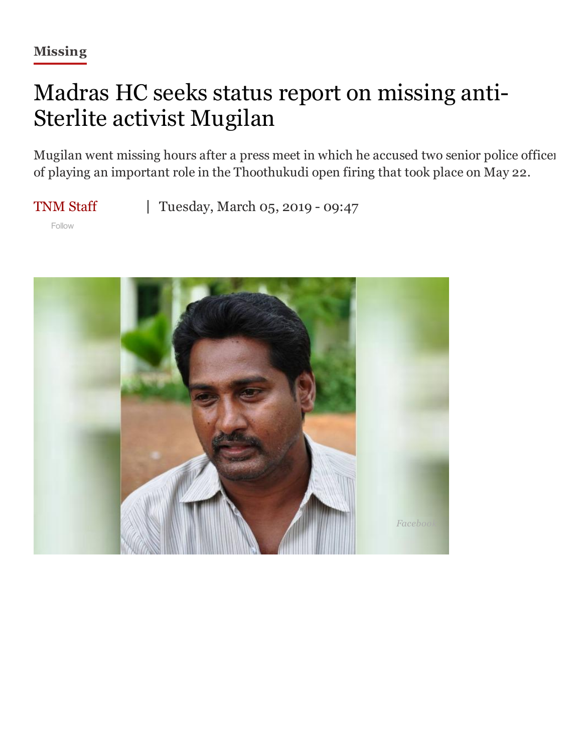## Madras HC seeks status report on missing anti-Sterlite activist Mugilan

Mugilan went missing hours after a press meet in which he accused two senior police officer of playing an important role in the Thoothukudi open firing that took place on May 22.

[TNM](https://www.thenewsminute.com/author-articles/TNM-Staff) Staff

Tuesday, March 05, 2019 - 09:47

Follow

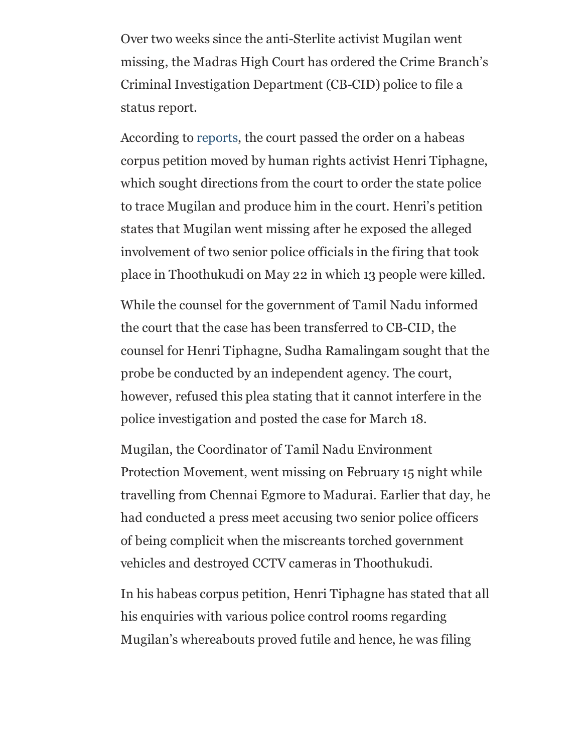Over two weeks since the anti-Sterlite activist Mugilan went missing, the Madras High Court has ordered the Crime Branch's Criminal Investigation Department (CB-CID) police to file a status report.

According to [reports,](https://epaper.timesgroup.com/Olive/ODN/TimesOfIndia/shared/ShowArticle.aspx?doc=TOICH%2F2019%2F03%2F05&entity=Ar00607&sk=D46F75F9&mode=text) the court passed the order on a habeas corpus petition moved by human rights activist Henri Tiphagne, which sought directions from the court to order the state police to trace Mugilan and produce him in the court. Henri's petition states that Mugilan went missing after he exposed the alleged involvement of two senior police officials in the firing that took place in Thoothukudi on May 22 in which 13 people were killed.

While the counsel for the government of Tamil Nadu informed the court that the case has been transferred to CB-CID, the counsel for Henri Tiphagne, Sudha Ramalingam sought that the probe be conducted by an independent agency. The court, however, refused this plea stating that it cannot interfere in the police investigation and posted the case for March 18.

Mugilan, the Coordinator of Tamil Nadu Environment Protection Movement, went missing on February 15 night while travelling from Chennai Egmore to Madurai. Earlier that day, he had conducted a press meet accusing two senior police officers of being complicit when the miscreants torched government vehicles and destroyed CCTV cameras in Thoothukudi.

In his habeas corpus petition, Henri Tiphagne has stated that all his enquiries with various police control rooms regarding Mugilan's whereabouts proved futile and hence, he was filing